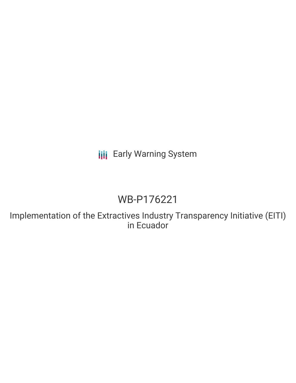**III** Early Warning System

## WB-P176221

Implementation of the Extractives Industry Transparency Initiative (EITI) in Ecuador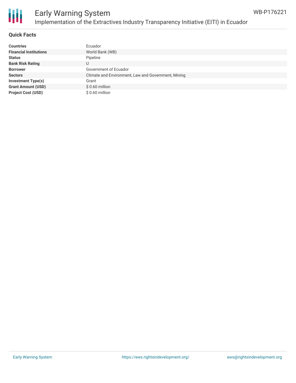

# Ш

## Early Warning System Implementation of the Extractives Industry Transparency Initiative (EITI) in Ecuador

#### **Quick Facts**

| <b>Countries</b>              | Ecuador                                             |
|-------------------------------|-----------------------------------------------------|
| <b>Financial Institutions</b> | World Bank (WB)                                     |
| <b>Status</b>                 | Pipeline                                            |
| <b>Bank Risk Rating</b>       |                                                     |
| <b>Borrower</b>               | Government of Ecuador                               |
| <b>Sectors</b>                | Climate and Environment, Law and Government, Mining |
| Investment Type(s)            | Grant                                               |
| <b>Grant Amount (USD)</b>     | $$0.60$ million                                     |
| <b>Project Cost (USD)</b>     | $$0.60$ million                                     |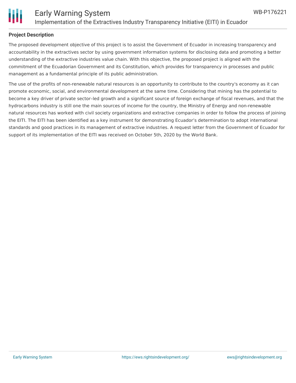



#### **Project Description**

The proposed development objective of this project is to assist the Government of Ecuador in increasing transparency and accountability in the extractives sector by using government information systems for disclosing data and promoting a better understanding of the extractive industries value chain. With this objective, the proposed project is aligned with the commitment of the Ecuadorian Government and its Constitution, which provides for transparency in processes and public management as a fundamental principle of its public administration.

The use of the profits of non-renewable natural resources is an opportunity to contribute to the country's economy as it can promote economic, social, and environmental development at the same time. Considering that mining has the potential to become a key driver of private sector–led growth and a significant source of foreign exchange of fiscal revenues, and that the hydrocarbons industry is still one the main sources of income for the country, the Ministry of Energy and non-renewable natural resources has worked with civil society organizations and extractive companies in order to follow the process of joining the EITI. The EITI has been identified as a key instrument for demonstrating Ecuador's determination to adopt international standards and good practices in its management of extractive industries. A request letter from the Government of Ecuador for support of its implementation of the EITI was received on October 5th, 2020 by the World Bank.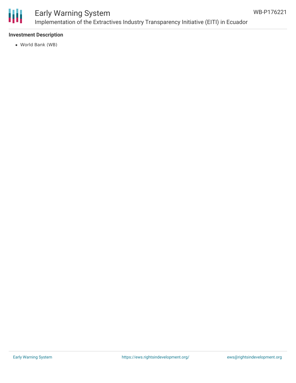

### Early Warning System Implementation of the Extractives Industry Transparency Initiative (EITI) in Ecuador

#### **Investment Description**

World Bank (WB)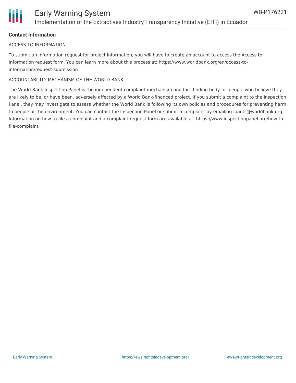

#### **Contact Information**

#### ACCESS TO INFORMATION

To submit an information request for project information, you will have to create an account to access the Access to Information request form. You can learn more about this process at: https://www.worldbank.org/en/access-toinformation/request-submission

#### ACCOUNTABILITY MECHANISM OF THE WORLD BANK

The World Bank Inspection Panel is the independent complaint mechanism and fact-finding body for people who believe they are likely to be, or have been, adversely affected by a World Bank-financed project. If you submit a complaint to the Inspection Panel, they may investigate to assess whether the World Bank is following its own policies and procedures for preventing harm to people or the environment. You can contact the Inspection Panel or submit a complaint by emailing ipanel@worldbank.org. Information on how to file a complaint and a complaint request form are available at: https://www.inspectionpanel.org/how-tofile-complaint